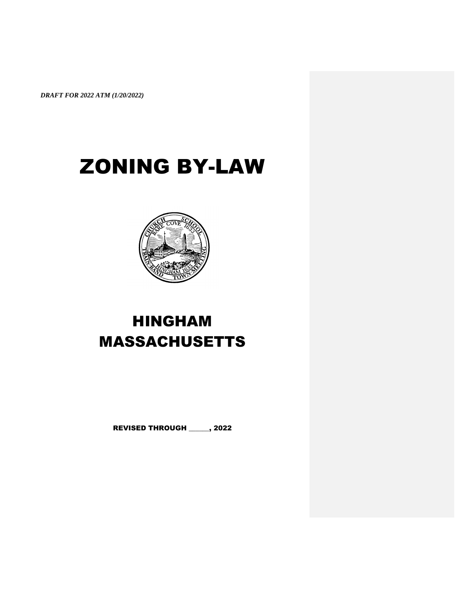# ZONING BY-LAW



## HINGHAM MASSACHUSETTS

REVISED THROUGH \_\_\_\_\_\_, 2022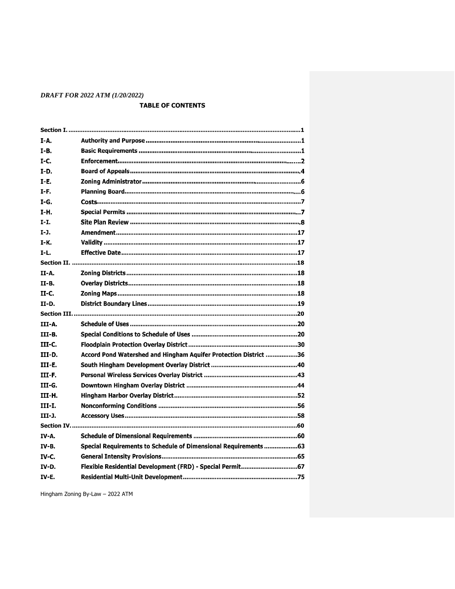## **TABLE OF CONTENTS**

| I-A.          |                                                                  |  |  |
|---------------|------------------------------------------------------------------|--|--|
| $I-B.$        |                                                                  |  |  |
| $I-C.$        |                                                                  |  |  |
| $I-D.$        |                                                                  |  |  |
| $I-E.$        |                                                                  |  |  |
| I-F.          |                                                                  |  |  |
| $I-G.$        |                                                                  |  |  |
| I-H.          |                                                                  |  |  |
| $T-T$ .       |                                                                  |  |  |
| $I-J.$        |                                                                  |  |  |
| $I-K.$        |                                                                  |  |  |
| $I-L.$        |                                                                  |  |  |
|               |                                                                  |  |  |
| II-A.         |                                                                  |  |  |
| $II - B$ .    |                                                                  |  |  |
| II-C.         |                                                                  |  |  |
| <b>II-D.</b>  |                                                                  |  |  |
|               |                                                                  |  |  |
|               |                                                                  |  |  |
| III-A.        |                                                                  |  |  |
| III-B.        |                                                                  |  |  |
| III-C.        |                                                                  |  |  |
| III-D.        | Accord Pond Watershed and Hingham Aquifer Protection District 36 |  |  |
| III-E.        |                                                                  |  |  |
| III-F.        |                                                                  |  |  |
| III-G.        |                                                                  |  |  |
| III-H.        |                                                                  |  |  |
| <b>III-I.</b> |                                                                  |  |  |
| III-1.        |                                                                  |  |  |
|               |                                                                  |  |  |
| IV-A.         |                                                                  |  |  |
| <b>IV-B.</b>  | Special Requirements to Schedule of Dimensional Requirements 63  |  |  |
| IV C.         |                                                                  |  |  |
| IV-D.         | Flexible Residential Development (FRD) - Special Permit67        |  |  |
| <b>IV-E.</b>  |                                                                  |  |  |

Hingham Zoning By-Law - 2022 ATM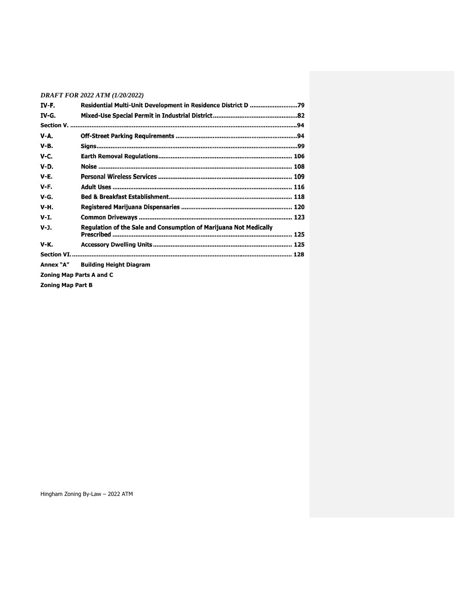|             | <b>DRAFT FOR 2022 ATM (1/20/2022)</b>                             |  |  |
|-------------|-------------------------------------------------------------------|--|--|
| IV-F.       |                                                                   |  |  |
| IV-G.       |                                                                   |  |  |
|             |                                                                   |  |  |
| V-A.        |                                                                   |  |  |
| <b>V-B.</b> |                                                                   |  |  |
| <b>V-C.</b> |                                                                   |  |  |
| $V-D.$      |                                                                   |  |  |
| $V-E$ .     |                                                                   |  |  |
| V-F.        |                                                                   |  |  |
| V-G.        |                                                                   |  |  |
| <b>V-H.</b> |                                                                   |  |  |
| $V-I.$      |                                                                   |  |  |
| $V-J.$      | Regulation of the Sale and Consumption of Marijuana Not Medically |  |  |
| <b>V-K.</b> |                                                                   |  |  |
|             |                                                                   |  |  |
| Annex "A"   | <b>Building Height Diagram</b>                                    |  |  |

**Zoning Map Parts A and C**

**Zoning Map Part B**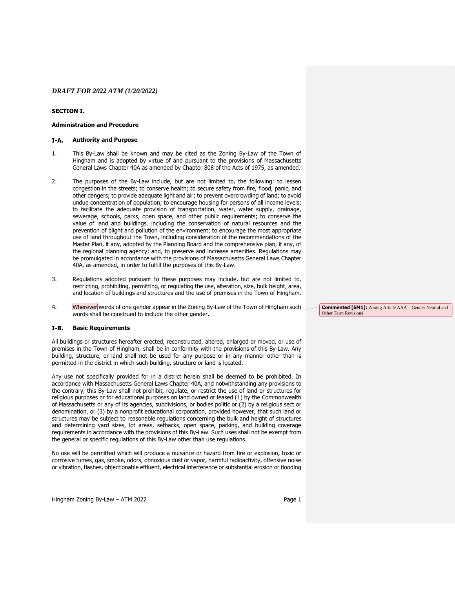## <span id="page-3-0"></span>**SECTION I.**

#### **Administration and Procedure**

#### $I-A$ . **Authority and Purpose**

- 1. This By-Law shall be known and may be cited as the Zoning By-Law of the Town of Hingham and is adopted by virtue of and pursuant to the provisions of Massachusetts General Laws Chapter 40A as amended by Chapter 808 of the Acts of 1975, as amended.
- 2. The purposes of the By-Law include, but are not limited to, the following: to lessen congestion in the streets; to conserve health; to secure safety from fire, flood, panic, and other dangers; to provide adequate light and air; to prevent overcrowding of land; to avoid undue concentration of population; to encourage housing for persons of all income levels; to facilitate the adequate provision of transportation, water, water supply, drainage, sewerage, schools, parks, open space, and other public requirements; to conserve the value of land and buildings, including the conservation of natural resources and the prevention of blight and pollution of the environment; to encourage the most appropriate use of land throughout the Town, including consideration of the recommendations of the Master Plan, if any, adopted by the Planning Board and the comprehensive plan, if any, of the regional planning agency; and, to preserve and increase amenities. Regulations may be promulgated in accordance with the provisions of Massachusetts General Laws Chapter 40A, as amended, in order to fulfill the purposes of this By-Law.
- 3. Regulations adopted pursuant to these purposes may include, but are not limited to, restricting, prohibiting, permitting, or regulating the use, alteration, size, bulk height, area, and location of buildings and structures and the use of premises in the Town of Hingham.
- 4. Wherever words of one gender appear in the Zoning By-Law of the Town of Hingham such words shall be construed to include the other gender.

#### $I-B.$ **Basic Requirements**

All buildings or structures hereafter erected, reconstructed, altered, enlarged or moved, or use of premises in the Town of Hingham, shall be in conformity with the provisions of this By-Law. Any building, structure, or land shall not be used for any purpose or in any manner other than is permitted in the district in which such building, structure or land is located.

Any use not specifically provided for in a district herein shall be deemed to be prohibited. In accordance with Massachusetts General Laws Chapter 40A, and notwithstanding any provisions to the contrary, this By-Law shall not prohibit, regulate, or restrict the use of land or structures for religious purposes or for educational purposes on land owned or leased (1) by the Commonwealth of Massachusetts or any of its agencies, subdivisions, or bodies politic or (2) by a religious sect or denomination, or (3) by a nonprofit educational corporation, provided however, that such land or structures may be subject to reasonable regulations concerning the bulk and height of structures and determining yard sizes, lot areas, setbacks, open space, parking, and building coverage requirements in accordance with the provisions of this By-Law. Such uses shall not be exempt from the general or specific regulations of this By-Law other than use regulations.

No use will be permitted which will produce a nuisance or hazard from fire or explosion, toxic or corrosive fumes, gas, smoke, odors, obnoxious dust or vapor, harmful radioactivity, offensive noise or vibration, flashes, objectionable effluent, electrical interference or substantial erosion or flooding **Commented [SM1]:** Zoning Article AAA – Gender Neutral and Other Term Revisions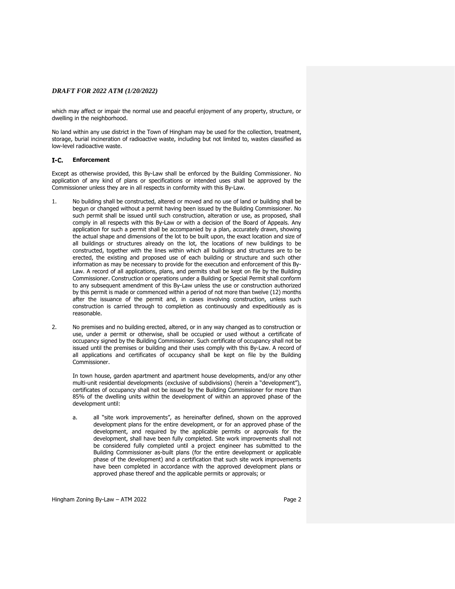which may affect or impair the normal use and peaceful enjoyment of any property, structure, or dwelling in the neighborhood.

No land within any use district in the Town of Hingham may be used for the collection, treatment, storage, burial incineration of radioactive waste, including but not limited to, wastes classified as low-level radioactive waste.

#### **Enforcement**

Except as otherwise provided, this By-Law shall be enforced by the Building Commissioner. No application of any kind of plans or specifications or intended uses shall be approved by the Commissioner unless they are in all respects in conformity with this By-Law.

- 1. No building shall be constructed, altered or moved and no use of land or building shall be begun or changed without a permit having been issued by the Building Commissioner. No such permit shall be issued until such construction, alteration or use, as proposed, shall comply in all respects with this By-Law or with a decision of the Board of Appeals. Any application for such a permit shall be accompanied by a plan, accurately drawn, showing the actual shape and dimensions of the lot to be built upon, the exact location and size of all buildings or structures already on the lot, the locations of new buildings to be constructed, together with the lines within which all buildings and structures are to be erected, the existing and proposed use of each building or structure and such other information as may be necessary to provide for the execution and enforcement of this By-Law. A record of all applications, plans, and permits shall be kept on file by the Building Commissioner. Construction or operations under a Building or Special Permit shall conform to any subsequent amendment of this By-Law unless the use or construction authorized by this permit is made or commenced within a period of not more than twelve (12) months after the issuance of the permit and, in cases involving construction, unless such construction is carried through to completion as continuously and expeditiously as is reasonable.
- 2. No premises and no building erected, altered, or in any way changed as to construction or use, under a permit or otherwise, shall be occupied or used without a certificate of occupancy signed by the Building Commissioner. Such certificate of occupancy shall not be issued until the premises or building and their uses comply with this By-Law. A record of all applications and certificates of occupancy shall be kept on file by the Building Commissioner.

In town house, garden apartment and apartment house developments, and/or any other multi-unit residential developments (exclusive of subdivisions) (herein a "development"), certificates of occupancy shall not be issued by the Building Commissioner for more than 85% of the dwelling units within the development of within an approved phase of the development until:

a. all "site work improvements", as hereinafter defined, shown on the approved development plans for the entire development, or for an approved phase of the development, and required by the applicable permits or approvals for the development, shall have been fully completed. Site work improvements shall not be considered fully completed until a project engineer has submitted to the Building Commissioner as-built plans (for the entire development or applicable phase of the development) and a certification that such site work improvements have been completed in accordance with the approved development plans or approved phase thereof and the applicable permits or approvals; or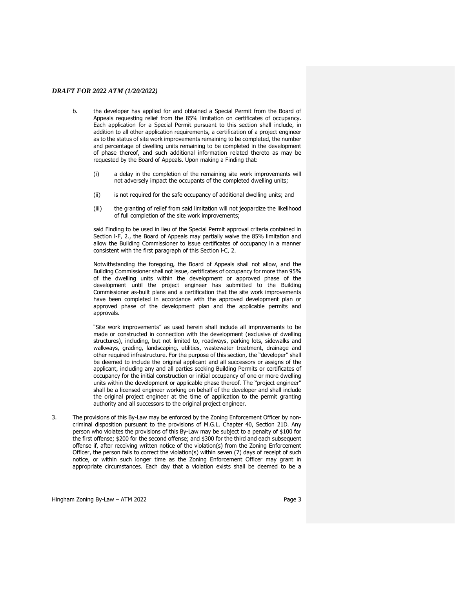- b. the developer has applied for and obtained a Special Permit from the Board of Appeals requesting relief from the 85% limitation on certificates of occupancy. Each application for a Special Permit pursuant to this section shall include, in addition to all other application requirements, a certification of a project engineer as to the status of site work improvements remaining to be completed, the number and percentage of dwelling units remaining to be completed in the development of phase thereof, and such additional information related thereto as may be requested by the Board of Appeals. Upon making a Finding that:
	- (i) a delay in the completion of the remaining site work improvements will not adversely impact the occupants of the completed dwelling units;
	- (ii) is not required for the safe occupancy of additional dwelling units; and
	- (iii) the granting of relief from said limitation will not jeopardize the likelihood of full completion of the site work improvements;

said Finding to be used in lieu of the Special Permit approval criteria contained in Section l-F, 2., the Board of Appeals may partially waive the 85% limitation and allow the Building Commissioner to issue certificates of occupancy in a manner consistent with the first paragraph of this Section l-C, 2.

Notwithstanding the foregoing, the Board of Appeals shall not allow, and the Building Commissioner shall not issue, certificates of occupancy for more than 95% of the dwelling units within the development or approved phase of the development until the project engineer has submitted to the Building Commissioner as-built plans and a certification that the site work improvements have been completed in accordance with the approved development plan or approved phase of the development plan and the applicable permits and approvals.

"Site work improvements" as used herein shall include all improvements to be made or constructed in connection with the development (exclusive of dwelling structures), including, but not limited to, roadways, parking lots, sidewalks and walkways, grading, landscaping, utilities, wastewater treatment, drainage and other required infrastructure. For the purpose of this section, the "developer" shall be deemed to include the original applicant and all successors or assigns of the applicant, including any and all parties seeking Building Permits or certificates of occupancy for the initial construction or initial occupancy of one or more dwelling units within the development or applicable phase thereof. The "project engineer" shall be a licensed engineer working on behalf of the developer and shall include the original project engineer at the time of application to the permit granting authority and all successors to the original project engineer.

3. The provisions of this By-Law may be enforced by the Zoning Enforcement Officer by noncriminal disposition pursuant to the provisions of M.G.L. Chapter 40, Section 21D. Any person who violates the provisions of this By-Law may be subject to a penalty of \$100 for the first offense; \$200 for the second offense; and \$300 for the third and each subsequent offense if, after receiving written notice of the violation(s) from the Zoning Enforcement Officer, the person fails to correct the violation(s) within seven (7) days of receipt of such notice, or within such longer time as the Zoning Enforcement Officer may grant in appropriate circumstances. Each day that a violation exists shall be deemed to be a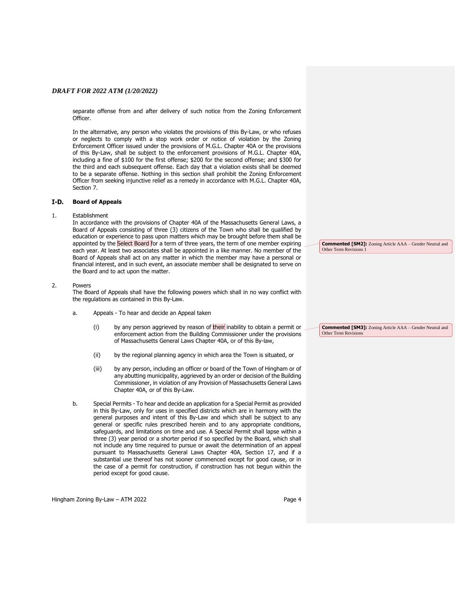separate offense from and after delivery of such notice from the Zoning Enforcement Officer.

In the alternative, any person who violates the provisions of this By-Law, or who refuses or neglects to comply with a stop work order or notice of violation by the Zoning Enforcement Officer issued under the provisions of M.G.L. Chapter 40A or the provisions of this By-Law, shall be subject to the enforcement provisions of M.G.L. Chapter 40A, including a fine of \$100 for the first offense; \$200 for the second offense; and \$300 for the third and each subsequent offense. Each day that a violation exists shall be deemed to be a separate offense. Nothing in this section shall prohibit the Zoning Enforcement Officer from seeking injunctive relief as a remedy in accordance with M.G.L. Chapter 40A, Section 7.

#### $I-D$ . **Board of Appeals**

#### 1. Establishment

In accordance with the provisions of Chapter 40A of the Massachusetts General Laws, a Board of Appeals consisting of three (3) citizens of the Town who shall be qualified by education or experience to pass upon matters which may be brought before them shall be appointed by the Select Board for a term of three years, the term of one member expiring each year. At least two associates shall be appointed in a like manner. No member of the Board of Appeals shall act on any matter in which the member may have a personal or financial interest, and in such event, an associate member shall be designated to serve on the Board and to act upon the matter.

#### 2. Powers

The Board of Appeals shall have the following powers which shall in no way conflict with the regulations as contained in this By-Law.

- a. Appeals To hear and decide an Appeal taken
	- (i) by any person aggrieved by reason of  $\frac{1}{2}$  their inability to obtain a permit or enforcement action from the Building Commissioner under the provisions of Massachusetts General Laws Chapter 40A, or of this By-law,
	- (ii) by the regional planning agency in which area the Town is situated, or
	- (iii) by any person, including an officer or board of the Town of Hingham or of any abutting municipality, aggrieved by an order or decision of the Building Commissioner, in violation of any Provision of Massachusetts General Laws Chapter 40A, or of this By-Law.
- b. Special Permits To hear and decide an application for a Special Permit as provided in this By-Law, only for uses in specified districts which are in harmony with the general purposes and intent of this By-Law and which shall be subject to any general or specific rules prescribed herein and to any appropriate conditions, safeguards, and limitations on time and use. A Special Permit shall lapse within a three (3) year period or a shorter period if so specified by the Board, which shall not include any time required to pursue or await the determination of an appeal pursuant to Massachusetts General Laws Chapter 40A, Section 17, and if a substantial use thereof has not sooner commenced except for good cause, or in the case of a permit for construction, if construction has not begun within the period except for good cause.

**Commented [SM2]:** Zoning Article AAA – Gender Neutral and Other Term Revisions

**Commented [SM3]:** Zoning Article AAA – Gender Neutral and Other Term Revisions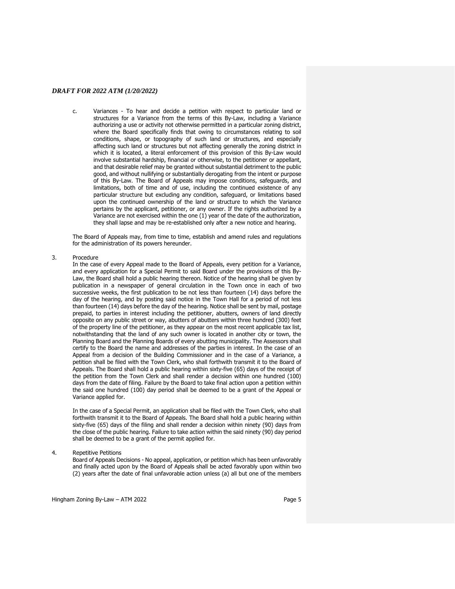c. Variances - To hear and decide a petition with respect to particular land or structures for a Variance from the terms of this By-Law, including a Variance authorizing a use or activity not otherwise permitted in a particular zoning district, where the Board specifically finds that owing to circumstances relating to soil conditions, shape, or topography of such land or structures, and especially affecting such land or structures but not affecting generally the zoning district in which it is located, a literal enforcement of this provision of this By-Law would involve substantial hardship, financial or otherwise, to the petitioner or appellant, and that desirable relief may be granted without substantial detriment to the public good, and without nullifying or substantially derogating from the intent or purpose of this By-Law. The Board of Appeals may impose conditions, safeguards, and limitations, both of time and of use, including the continued existence of any particular structure but excluding any condition, safeguard, or limitations based upon the continued ownership of the land or structure to which the Variance pertains by the applicant, petitioner, or any owner. If the rights authorized by a Variance are not exercised within the one (1) year of the date of the authorization, they shall lapse and may be re-established only after a new notice and hearing.

The Board of Appeals may, from time to time, establish and amend rules and regulations for the administration of its powers hereunder.

#### 3. Procedure

In the case of every Appeal made to the Board of Appeals, every petition for a Variance, and every application for a Special Permit to said Board under the provisions of this By-Law, the Board shall hold a public hearing thereon. Notice of the hearing shall be given by publication in a newspaper of general circulation in the Town once in each of two successive weeks, the first publication to be not less than fourteen (14) days before the day of the hearing, and by posting said notice in the Town Hall for a period of not less than fourteen (14) days before the day of the hearing. Notice shall be sent by mail, postage prepaid, to parties in interest including the petitioner, abutters, owners of land directly opposite on any public street or way, abutters of abutters within three hundred (300) feet of the property line of the petitioner, as they appear on the most recent applicable tax list, notwithstanding that the land of any such owner is located in another city or town, the Planning Board and the Planning Boards of every abutting municipality. The Assessors shall certify to the Board the name and addresses of the parties in interest. In the case of an Appeal from a decision of the Building Commissioner and in the case of a Variance, a petition shall be filed with the Town Clerk, who shall forthwith transmit it to the Board of Appeals. The Board shall hold a public hearing within sixty-five (65) days of the receipt of the petition from the Town Clerk and shall render a decision within one hundred (100) days from the date of filing. Failure by the Board to take final action upon a petition within the said one hundred (100) day period shall be deemed to be a grant of the Appeal or Variance applied for.

In the case of a Special Permit, an application shall be filed with the Town Clerk, who shall forthwith transmit it to the Board of Appeals. The Board shall hold a public hearing within sixty-five (65) days of the filing and shall render a decision within ninety (90) days from the close of the public hearing. Failure to take action within the said ninety (90) day period shall be deemed to be a grant of the permit applied for.

4. Repetitive Petitions

Board of Appeals Decisions - No appeal, application, or petition which has been unfavorably and finally acted upon by the Board of Appeals shall be acted favorably upon within two (2) years after the date of final unfavorable action unless (a) all but one of the members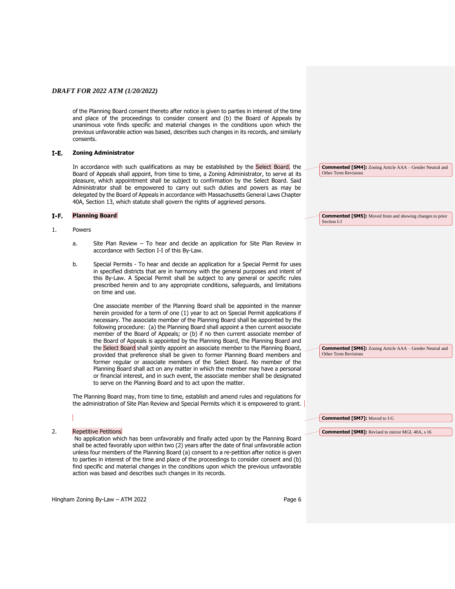of the Planning Board consent thereto after notice is given to parties in interest of the time and place of the proceedings to consider consent and (b) the Board of Appeals by unanimous vote finds specific and material changes in the conditions upon which the previous unfavorable action was based, describes such changes in its records, and similarly consents.

#### $I-E$ . **Zoning Administrator**

In accordance with such qualifications as may be established by the Select Board, the Board of Appeals shall appoint, from time to time, a Zoning Administrator, to serve at its pleasure, which appointment shall be subject to confirmation by the Select Board. Said Administrator shall be empowered to carry out such duties and powers as may be delegated by the Board of Appeals in accordance with Massachusetts General Laws Chapter 40A, Section 13, which statute shall govern the rights of aggrieved persons.

#### $I-F.$ **Planning Board**

#### 1. Powers

- a. Site Plan Review To hear and decide an application for Site Plan Review in accordance with Section I-I of this By-Law.
- b. Special Permits To hear and decide an application for a Special Permit for uses in specified districts that are in harmony with the general purposes and intent of this By-Law. A Special Permit shall be subject to any general or specific rules prescribed herein and to any appropriate conditions, safeguards, and limitations on time and use.

One associate member of the Planning Board shall be appointed in the manner herein provided for a term of one (1) year to act on Special Permit applications if necessary. The associate member of the Planning Board shall be appointed by the following procedure: (a) the Planning Board shall appoint a then current associate member of the Board of Appeals; or (b) if no then current associate member of the Board of Appeals is appointed by the Planning Board, the Planning Board and the Select Board shall jointly appoint an associate member to the Planning Board, provided that preference shall be given to former Planning Board members and former regular or associate members of the Select Board. No member of the Planning Board shall act on any matter in which the member may have a personal or financial interest, and in such event, the associate member shall be designated to serve on the Planning Board and to act upon the matter.

The Planning Board may, from time to time, establish and amend rules and regulations for the administration of Site Plan Review and Special Permits which it is empowered to grant.

**Commented [SM7]:** Moved to I-G

Other Term Revisions

**Commented [SM8]:** Revised to mirror MGL 40A, s 16

**Commented [SM6]:** Zoning Article AAA – Gender Neutral and

## 2. Repetitive Petitions

No application which has been unfavorably and finally acted upon by the Planning Board shall be acted favorably upon within two (2) years after the date of final unfavorable action unless four members of the Planning Board (a) consent to a re-petition after notice is given to parties in interest of the time and place of the proceedings to consider consent and (b) find specific and material changes in the conditions upon which the previous unfavorable action was based and describes such changes in its records.

Hingham Zoning By-Law – ATM 2022 Page 6

**Commented [SM4]:** Zoning Article AAA – Gender Neutral and Other Term Revisions

**Commented [SM5]:** Moved from and showing changes to prior Section I-J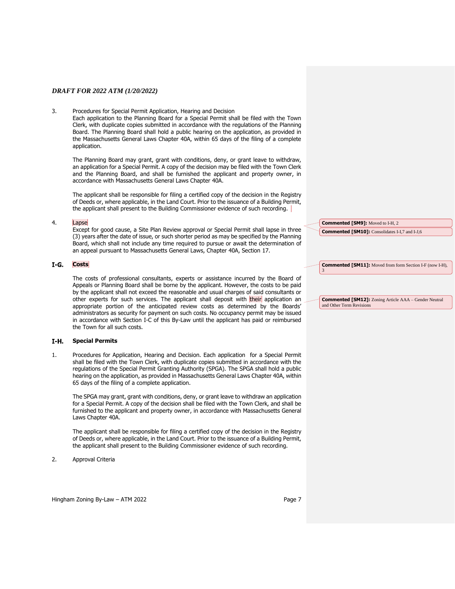#### 3. Procedures for Special Permit Application, Hearing and Decision

Each application to the Planning Board for a Special Permit shall be filed with the Town Clerk, with duplicate copies submitted in accordance with the regulations of the Planning Board. The Planning Board shall hold a public hearing on the application, as provided in the Massachusetts General Laws Chapter 40A, within 65 days of the filing of a complete application.

The Planning Board may grant, grant with conditions, deny, or grant leave to withdraw, an application for a Special Permit. A copy of the decision may be filed with the Town Clerk and the Planning Board, and shall be furnished the applicant and property owner, in accordance with Massachusetts General Laws Chapter 40A.

The applicant shall be responsible for filing a certified copy of the decision in the Registry of Deeds or, where applicable, in the Land Court. Prior to the issuance of a Building Permit, the applicant shall present to the Building Commissioner evidence of such recording.

#### 4. Lapse

Except for good cause, a Site Plan Review approval or Special Permit shall lapse in three (3) years after the date of issue, or such shorter period as may be specified by the Planning Board, which shall not include any time required to pursue or await the determination of an appeal pursuant to Massachusetts General Laws, Chapter 40A, Section 17.

#### I-G. Costs

The costs of professional consultants, experts or assistance incurred by the Board of Appeals or Planning Board shall be borne by the applicant. However, the costs to be paid by the applicant shall not exceed the reasonable and usual charges of said consultants or other experts for such services. The applicant shall deposit with their application an appropriate portion of the anticipated review costs as determined by the Boards' administrators as security for payment on such costs. No occupancy permit may be issued in accordance with Section I-C of this By-Law until the applicant has paid or reimbursed the Town for all such costs.

#### **Special Permits**  I-Н.

1. Procedures for Application, Hearing and Decision. Each application for a Special Permit shall be filed with the Town Clerk, with duplicate copies submitted in accordance with the regulations of the Special Permit Granting Authority (SPGA). The SPGA shall hold a public hearing on the application, as provided in Massachusetts General Laws Chapter 40A, within 65 days of the filing of a complete application.

The SPGA may grant, grant with conditions, deny, or grant leave to withdraw an application for a Special Permit. A copy of the decision shall be filed with the Town Clerk, and shall be furnished to the applicant and property owner, in accordance with Massachusetts General Laws Chapter 40A.

The applicant shall be responsible for filing a certified copy of the decision in the Registry of Deeds or, where applicable, in the Land Court. Prior to the issuance of a Building Permit, the applicant shall present to the Building Commissioner evidence of such recording.

2. Approval Criteria

**Commented [SM9]:** Moved to I-H, 2 **Commented [SM10]:** Consolidates I-I,7 and I-J,6

**Commented [SM11]:** Moved from form Section I-F (now I-H), 3

**Commented [SM12]:** Zoning Article AAA – Gender Neutral and Other Term Revisio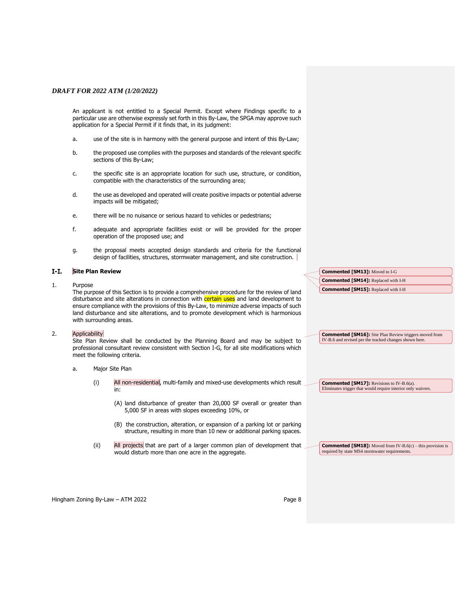An applicant is not entitled to a Special Permit. Except where Findings specific to a particular use are otherwise expressly set forth in this By-Law, the SPGA may approve such application for a Special Permit if it finds that, in its judgment:

- a. use of the site is in harmony with the general purpose and intent of this By-Law;
- b. the proposed use complies with the purposes and standards of the relevant specific sections of this By-Law;
- c. the specific site is an appropriate location for such use, structure, or condition, compatible with the characteristics of the surrounding area;
- d. the use as developed and operated will create positive impacts or potential adverse impacts will be mitigated;
- e. there will be no nuisance or serious hazard to vehicles or pedestrians;
- f. adequate and appropriate facilities exist or will be provided for the proper operation of the proposed use; and
- g. the proposal meets accepted design standards and criteria for the functional design of facilities, structures, stormwater management, and site construction.

#### **Site Plan Review**  $I-I.$

1. Purpose

The purpose of this Section is to provide a comprehensive procedure for the review of land disturbance and site alterations in connection with certain uses and land development to ensure compliance with the provisions of this By-Law, to minimize adverse impacts of such land disturbance and site alterations, and to promote development which is harmonious with surrounding areas.

#### 2. Applicability

Site Plan Review shall be conducted by the Planning Board and may be subject to professional consultant review consistent with Section I-G, for all site modifications which meet the following criteria.

- a. Major Site Plan
	- (i) All non-residential, multi-family and mixed-use developments which result in:
		- (A) land disturbance of greater than 20,000 SF overall or greater than 5,000 SF in areas with slopes exceeding 10%, or
		- (B) the construction, alteration, or expansion of a parking lot or parking structure, resulting in more than 10 new or additional parking spaces.
	- (ii) All projects that are part of a larger common plan of development that would disturb more than one acre in the aggregate.

**Commented [SM13]:** Moved to I-G **Commented [SM14]:** Replaced with I-H **Commented [SM15]:** Replaced with I-H

**Commented [SM16]:** Site Plan Review triggers moved from IV-B.6 and revised per the tracked changes shown here.

**Commented [SM17]:** Revisions to IV-B.6(a). Eliminates trigger that would require interior only waivers.

**Commented [SM18]:** Moved from IV-B.6(c) – this provision is required by state MS4 stormwater requirements.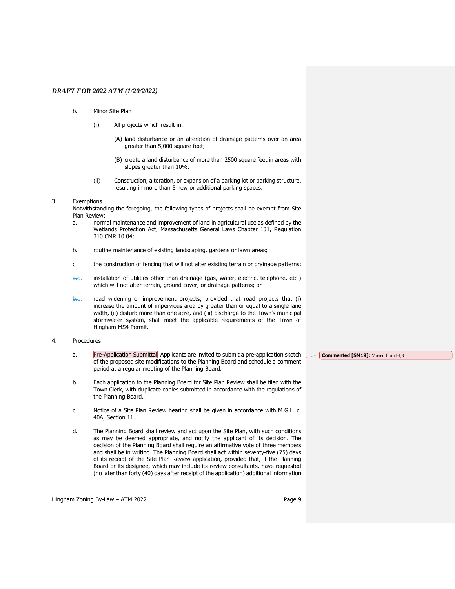- b. Minor Site Plan
	- (i) All projects which result in:
		- (A) land disturbance or an alteration of drainage patterns over an area greater than 5,000 square feet;
		- (B) create a land disturbance of more than 2500 square feet in areas with slopes greater than 10%**.**
	- (ii) Construction, alteration, or expansion of a parking lot or parking structure, resulting in more than 5 new or additional parking spaces.

#### 3. Exemptions.

Notwithstanding the foregoing, the following types of projects shall be exempt from Site Plan Review:

- a. normal maintenance and improvement of land in agricultural use as defined by the Wetlands Protection Act, Massachusetts General Laws Chapter 131, Regulation 310 CMR 10.04;
- b. routine maintenance of existing landscaping, gardens or lawn areas;
- c. the construction of fencing that will not alter existing terrain or drainage patterns;
- a.d. installation of utilities other than drainage (gas, water, electric, telephone, etc.) which will not alter terrain, ground cover, or drainage patterns; or
- b.e. road widening or improvement projects; provided that road projects that (i) increase the amount of impervious area by greater than or equal to a single lane width, (ii) disturb more than one acre, and (iii) discharge to the Town's municipal stormwater system, shall meet the applicable requirements of the Town of Hingham MS4 Permit.
- 4. Procedures
	- a. Pre-Application Submittal. Applicants are invited to submit a pre-application sketch of the proposed site modifications to the Planning Board and schedule a comment period at a regular meeting of the Planning Board.
	- b. Each application to the Planning Board for Site Plan Review shall be filed with the Town Clerk, with duplicate copies submitted in accordance with the regulations of the Planning Board.
	- c. Notice of a Site Plan Review hearing shall be given in accordance with M.G.L. c. 40A, Section 11.
	- d. The Planning Board shall review and act upon the Site Plan, with such conditions as may be deemed appropriate, and notify the applicant of its decision. The decision of the Planning Board shall require an affirmative vote of three members and shall be in writing. The Planning Board shall act within seventy-five (75) days of its receipt of the Site Plan Review application, provided that, if the Planning Board or its designee, which may include its review consultants, have requested (no later than forty (40) days after receipt of the application) additional information

Hingham Zoning By-Law – ATM 2022 Page 9

**Commented [SM19]:** Moved from I-I,3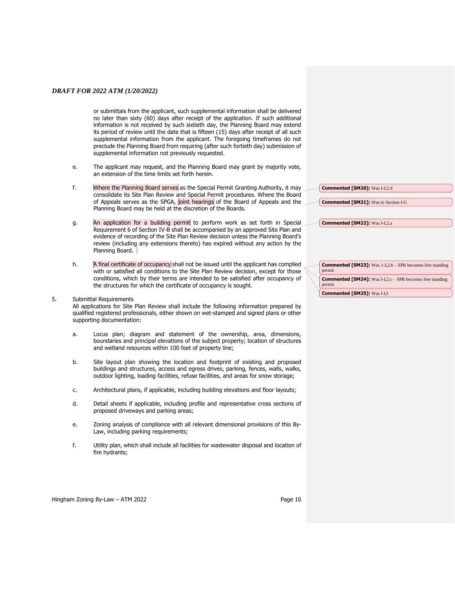or submittals from the applicant, such supplemental information shall be delivered no later than sixty (60) days after receipt of the application. If such additional information is not received by such sixtieth day, the Planning Board may extend its period of review until the date that is fifteen (15) days after receipt of all such supplemental information from the applicant. The foregoing timeframes do not preclude the Planning Board from requiring (after such fortieth day) submission of supplemental information not previously requested.

- e. The applicant may request, and the Planning Board may grant by majority vote, an extension of the time limits set forth herein.
- f. Where the Planning Board serves as the Special Permit Granting Authority, it may consolidate its Site Plan Review and Special Permit procedures. Where the Board of Appeals serves as the SPGA, joint hearings of the Board of Appeals and the Planning Board may be held at the discretion of the Boards.
- g. An application for a building permit to perform work as set forth in Special Requirement 6 of Section IV-B shall be accompanied by an approved Site Plan and evidence of recording of the Site Plan Review decision unless the Planning Board's review (including any extensions thereto) has expired without any action by the Planning Board.
- h. A final certificate of occupancy shall not be issued until the applicant has complied with or satisfied all conditions to the Site Plan Review decision, except for those conditions, which by their terms are intended to be satisfied after occupancy of the structures for which the certificate of occupancy is sought.

## 5. Submittal Requirements

All applications for Site Plan Review shall include the following information prepared by qualified registered professionals, either shown on wet-stamped and signed plans or other supporting documentation:

- a. Locus plan; diagram and statement of the ownership, area, dimensions, boundaries and principal elevations of the subject property; location of structures and wetland resources within 100 feet of property line;
- b. Site layout plan showing the location and footprint of existing and proposed buildings and structures, access and egress drives, parking, fences, walls, walks, outdoor lighting, loading facilities, refuse facilities, and areas for snow storage;
- c. Architectural plans, if applicable, including building elevations and floor layouts;
- d. Detail sheets if applicable, including profile and representative cross sections of proposed driveways and parking areas;
- e. Zoning analysis of compliance with all relevant dimensional provisions of this By-Law, including parking requirements;
- f. Utility plan, which shall include all facilities for wastewater disposal and location of fire hydrants;

| <b>Commented [SM22]:</b> Was I-I,2.a                                         |  |
|------------------------------------------------------------------------------|--|
|                                                                              |  |
|                                                                              |  |
|                                                                              |  |
|                                                                              |  |
| <b>Commented [SM23]:</b> Was $1-I,2.b - SPR$ becomes free standing<br>nermit |  |

**Commented [SM20]:** Was I-I,2.d

**Commented [SM21]:** Was in Section I-G

| permit                                                                     |
|----------------------------------------------------------------------------|
| <b>Commented [SM24]:</b> Was I-I,2.c - SPR becomes free standing<br>permit |
| <b>Commented [SM25]: Was I-I.f</b>                                         |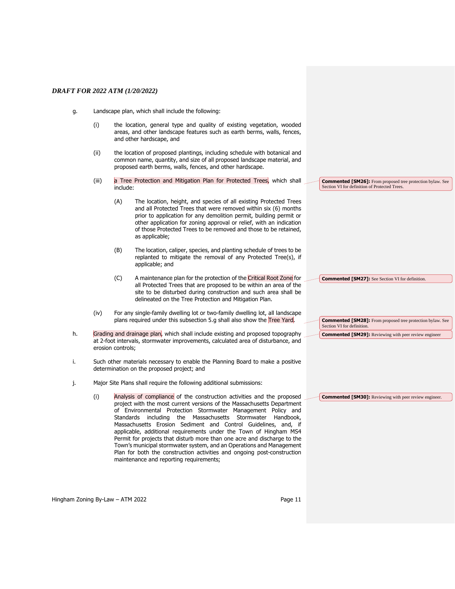- g. Landscape plan, which shall include the following:
	- (i) the location, general type and quality of existing vegetation, wooded areas, and other landscape features such as earth berms, walls, fences, and other hardscape, and
	- (ii) the location of proposed plantings, including schedule with botanical and common name, quantity, and size of all proposed landscape material, and proposed earth berms, walls, fences, and other hardscape.
	- (iii) a Tree Protection and Mitigation Plan for Protected Trees, which shall include:
		- (A) The location, height, and species of all existing Protected Trees and all Protected Trees that were removed within six (6) months prior to application for any demolition permit, building permit or other application for zoning approval or relief, with an indication of those Protected Trees to be removed and those to be retained, as applicable;
		- (B) The location, caliper, species, and planting schedule of trees to be replanted to mitigate the removal of any Protected Tree(s), if applicable; and
		- (C) A maintenance plan for the protection of the Critical Root Zone for all Protected Trees that are proposed to be within an area of the site to be disturbed during construction and such area shall be delineated on the Tree Protection and Mitigation Plan.
	- (iv) For any single-family dwelling lot or two-family dwelling lot, all landscape plans required under this subsection 5.g shall also show the Tree Yard.
- h. Grading and drainage plan, which shall include existing and proposed topography at 2-foot intervals, stormwater improvements, calculated area of disturbance, and erosion controls;
- i. Such other materials necessary to enable the Planning Board to make a positive determination on the proposed project; and
- j. Major Site Plans shall require the following additional submissions:
	- (i) Analysis of compliance of the construction activities and the proposed project with the most current versions of the Massachusetts Department of Environmental Protection Stormwater Management Policy and Standards including the Massachusetts Stormwater Handbook, Massachusetts Erosion Sediment and Control Guidelines, and, if applicable, additional requirements under the Town of Hingham MS4 Permit for projects that disturb more than one acre and discharge to the Town's municipal stormwater system, and an Operations and Management Plan for both the construction activities and ongoing post-construction maintenance and reporting requirements;

**Commented [SM26]:** From proposed tree protection bylaw. See Section VI for definition of Protected Trees.

**Commented [SM27]:** See Section VI for definition.

**Commented [SM28]:** From proposed tree protection bylaw. See Section VI for definition. **Commented [SM29]:** Reviewing with peer review engineer

**Commented [SM30]:** Reviewing with peer review engineer.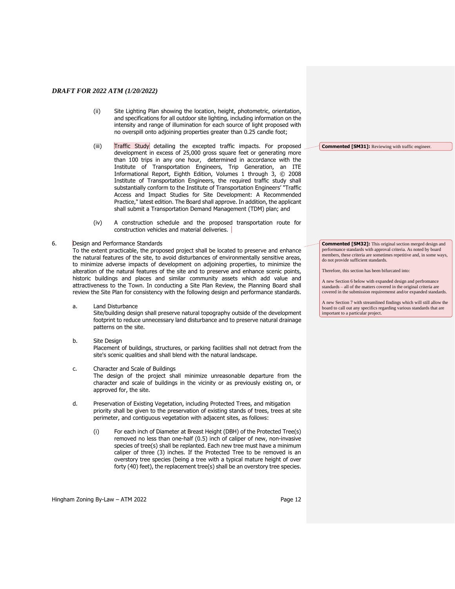- (ii) Site Lighting Plan showing the location, height, photometric, orientation, and specifications for all outdoor site lighting, including information on the intensity and range of illumination for each source of light proposed with no overspill onto adjoining properties greater than 0.25 candle foot;
- (iii) Traffic Study detailing the excepted traffic impacts. For proposed development in excess of 25,000 gross square feet or generating more than 100 trips in any one hour, determined in accordance with the Institute of Transportation Engineers, Trip Generation, an ITE Informational Report, Eighth Edition, Volumes 1 through 3, © 2008 Institute of Transportation Engineers, the required traffic study shall substantially conform to the Institute of Transportation Engineers' "Traffic Access and Impact Studies for Site Development: A Recommended Practice," latest edition. The Board shall approve. In addition, the applicant shall submit a Transportation Demand Management (TDM) plan; and
- (iv) A construction schedule and the proposed transportation route for construction vehicles and material deliveries.

#### 6. Design and Performance Standards

To the extent practicable, the proposed project shall be located to preserve and enhance the natural features of the site, to avoid disturbances of environmentally sensitive areas, to minimize adverse impacts of development on adjoining properties, to minimize the alteration of the natural features of the site and to preserve and enhance scenic points, historic buildings and places and similar community assets which add value and attractiveness to the Town. In conducting a Site Plan Review, the Planning Board shall review the Site Plan for consistency with the following design and performance standards.

a. Land Disturbance

Site/building design shall preserve natural topography outside of the development footprint to reduce unnecessary land disturbance and to preserve natural drainage patterns on the site.

- b. Site Design Placement of buildings, structures, or parking facilities shall not detract from the site's scenic qualities and shall blend with the natural landscape.
- c. Character and Scale of Buildings The design of the project shall minimize unreasonable departure from the character and scale of buildings in the vicinity or as previously existing on, or approved for, the site.
- d. Preservation of Existing Vegetation, including Protected Trees, and mitigation priority shall be given to the preservation of existing stands of trees, trees at site perimeter, and contiguous vegetation with adjacent sites, as follows:
	- (i) For each inch of Diameter at Breast Height (DBH) of the Protected Tree(s) removed no less than one-half (0.5) inch of caliper of new, non-invasive species of tree(s) shall be replanted. Each new tree must have a minimum caliper of three (3) inches. If the Protected Tree to be removed is an overstory tree species (being a tree with a typical mature height of over forty (40) feet), the replacement tree(s) shall be an overstory tree species.

Hingham Zoning By-Law – ATM 2022 Page 12

**Commented [SM32]:** This original section merged design and performance standards with approval criteria. As noted by board members, these criteria are sometimes repetitive and, in some ways, do not provide sufficient standards.

**Commented [SM31]:** Reviewing with traffic engineer.

Therefore, this section has been bifurcated into:

A new Section 6 below with expanded design and perfromance standards – all of the matters covered in the original criteria are covered in the submission requiremenst and/or expanded standards.

A new Section 7 with streamlined findings which will still allow the board to call out any specifics regarding various standards that are important to a particular project.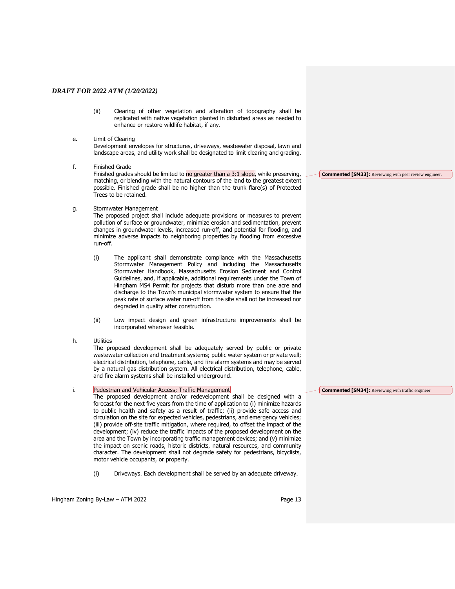(ii) Clearing of other vegetation and alteration of topography shall be replicated with native vegetation planted in disturbed areas as needed to enhance or restore wildlife habitat, if any.

#### e. Limit of Clearing

Development envelopes for structures, driveways, wastewater disposal, lawn and landscape areas, and utility work shall be designated to limit clearing and grading.

f. Finished Grade

Finished grades should be limited to no greater than a 3:1 slope, while preserving, matching, or blending with the natural contours of the land to the greatest extent possible. Finished grade shall be no higher than the trunk flare(s) of Protected Trees to be retained.

g. Stormwater Management

The proposed project shall include adequate provisions or measures to prevent pollution of surface or groundwater, minimize erosion and sedimentation, prevent changes in groundwater levels, increased run-off, and potential for flooding, and minimize adverse impacts to neighboring properties by flooding from excessive run-off.

- (i) The applicant shall demonstrate compliance with the Massachusetts Stormwater Management Policy and including the Massachusetts Stormwater Handbook, Massachusetts Erosion Sediment and Control Guidelines, and, if applicable, additional requirements under the Town of Hingham MS4 Permit for projects that disturb more than one acre and discharge to the Town's municipal stormwater system to ensure that the peak rate of surface water run-off from the site shall not be increased nor degraded in quality after construction.
- (ii) Low impact design and green infrastructure improvements shall be incorporated wherever feasible.
- h. Utilities

The proposed development shall be adequately served by public or private wastewater collection and treatment systems; public water system or private well; electrical distribution, telephone, cable, and fire alarm systems and may be served by a natural gas distribution system. All electrical distribution, telephone, cable, and fire alarm systems shall be installed underground.

#### i. Pedestrian and Vehicular Access; Traffic Management

The proposed development and/or redevelopment shall be designed with a forecast for the next five years from the time of application to (i) minimize hazards to public health and safety as a result of traffic; (ii) provide safe access and circulation on the site for expected vehicles, pedestrians, and emergency vehicles; (iii) provide off-site traffic mitigation, where required, to offset the impact of the development; (iv) reduce the traffic impacts of the proposed development on the area and the Town by incorporating traffic management devices; and (v) minimize the impact on scenic roads, historic districts, natural resources, and community character. The development shall not degrade safety for pedestrians, bicyclists, motor vehicle occupants, or property.

(i) Driveways. Each development shall be served by an adequate driveway.

**Commented [SM34]:** Reviewing with traffic engineer

Hingham Zoning By-Law – ATM 2022 Page 13

**Commented [SM33]:** Reviewing with peer review engineer.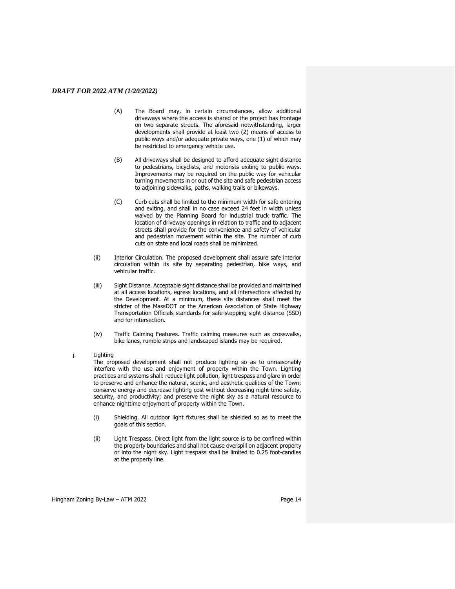- (A) The Board may, in certain circumstances, allow additional driveways where the access is shared or the project has frontage on two separate streets. The aforesaid notwithstanding, larger developments shall provide at least two (2) means of access to public ways and/or adequate private ways, one (1) of which may be restricted to emergency vehicle use.
- (B) All driveways shall be designed to afford adequate sight distance to pedestrians, bicyclists, and motorists exiting to public ways. Improvements may be required on the public way for vehicular turning movements in or out of the site and safe pedestrian access to adjoining sidewalks, paths, walking trails or bikeways.
- (C) Curb cuts shall be limited to the minimum width for safe entering and exiting, and shall in no case exceed 24 feet in width unless waived by the Planning Board for industrial truck traffic. The location of driveway openings in relation to traffic and to adjacent streets shall provide for the convenience and safety of vehicular and pedestrian movement within the site. The number of curb cuts on state and local roads shall be minimized.
- (ii) Interior Circulation. The proposed development shall assure safe interior circulation within its site by separating pedestrian, bike ways, and vehicular traffic.
- (iii) Sight Distance. Acceptable sight distance shall be provided and maintained at all access locations, egress locations, and all intersections affected by the Development. At a minimum, these site distances shall meet the stricter of the MassDOT or the American Association of State Highway Transportation Officials standards for safe-stopping sight distance (SSD) and for intersection.
- (iv) Traffic Calming Features. Traffic calming measures such as crosswalks, bike lanes, rumble strips and landscaped islands may be required.

#### j. Lighting

The proposed development shall not produce lighting so as to unreasonably interfere with the use and enjoyment of property within the Town. Lighting practices and systems shall: reduce light pollution, light trespass and glare in order to preserve and enhance the natural, scenic, and aesthetic qualities of the Town; conserve energy and decrease lighting cost without decreasing night-time safety, security, and productivity; and preserve the night sky as a natural resource to enhance nighttime enjoyment of property within the Town.

- (i) Shielding. All outdoor light fixtures shall be shielded so as to meet the goals of this section.
- (ii) Light Trespass. Direct light from the light source is to be confined within the property boundaries and shall not cause overspill on adjacent property or into the night sky. Light trespass shall be limited to 0.25 foot-candles at the property line.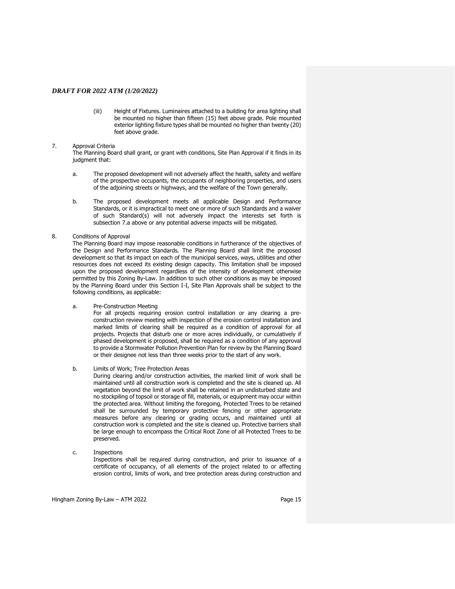(iii) Height of Fixtures. Luminaires attached to a building for area lighting shall be mounted no higher than fifteen (15) feet above grade. Pole mounted exterior lighting fixture types shall be mounted no higher than twenty (20) feet above grade.

#### 7. Approval Criteria

The Planning Board shall grant, or grant with conditions, Site Plan Approval if it finds in its judgment that:

- a. The proposed development will not adversely affect the health, safety and welfare of the prospective occupants, the occupants of neighboring properties, and users of the adjoining streets or highways, and the welfare of the Town generally.
- b. The proposed development meets all applicable Design and Performance Standards, or it is impractical to meet one or more of such Standards and a waiver of such Standard(s) will not adversely impact the interests set forth is subsection 7.a above or any potential adverse impacts will be mitigated.

#### 8. Conditions of Approval

The Planning Board may impose reasonable conditions in furtherance of the objectives of the Design and Performance Standards. The Planning Board shall limit the proposed development so that its impact on each of the municipal services, ways, utilities and other resources does not exceed its existing design capacity. This limitation shall be imposed upon the proposed development regardless of the intensity of development otherwise permitted by this Zoning By-Law. In addition to such other conditions as may be imposed by the Planning Board under this Section I-I, Site Plan Approvals shall be subject to the following conditions, as applicable:

a. Pre-Construction Meeting

For all projects requiring erosion control installation or any clearing a preconstruction review meeting with inspection of the erosion control installation and marked limits of clearing shall be required as a condition of approval for all projects. Projects that disturb one or more acres individually, or cumulatively if phased development is proposed, shall be required as a condition of any approval to provide a Stormwater Pollution Prevention Plan for review by the Planning Board or their designee not less than three weeks prior to the start of any work.

b. Limits of Work; Tree Protection Areas

During clearing and/or construction activities, the marked limit of work shall be maintained until all construction work is completed and the site is cleaned up. All vegetation beyond the limit of work shall be retained in an undisturbed state and no stockpiling of topsoil or storage of fill, materials, or equipment may occur within the protected area. Without limiting the foregoing, Protected Trees to be retained shall be surrounded by temporary protective fencing or other appropriate measures before any clearing or grading occurs, and maintained until all construction work is completed and the site is cleaned up. Protective barriers shall be large enough to encompass the Critical Root Zone of all Protected Trees to be preserved.

c. Inspections

Inspections shall be required during construction, and prior to issuance of a certificate of occupancy, of all elements of the project related to or affecting erosion control, limits of work, and tree protection areas during construction and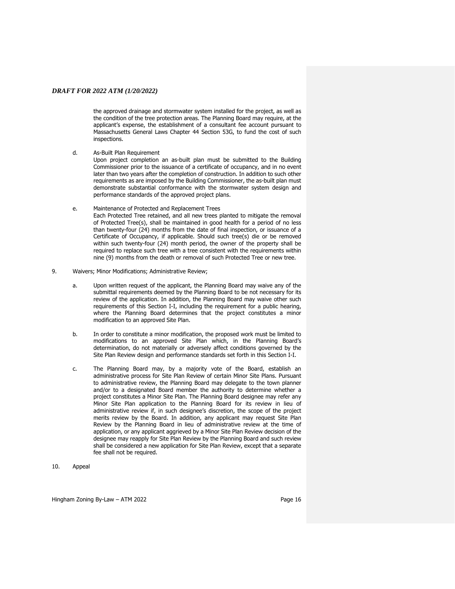the approved drainage and stormwater system installed for the project, as well as the condition of the tree protection areas. The Planning Board may require, at the applicant's expense, the establishment of a consultant fee account pursuant to Massachusetts General Laws Chapter 44 Section 53G, to fund the cost of such inspections.

d. As-Built Plan Requirement

Upon project completion an as-built plan must be submitted to the Building Commissioner prior to the issuance of a certificate of occupancy, and in no event later than two years after the completion of construction. In addition to such other requirements as are imposed by the Building Commissioner, the as-built plan must demonstrate substantial conformance with the stormwater system design and performance standards of the approved project plans.

e. Maintenance of Protected and Replacement Trees

Each Protected Tree retained, and all new trees planted to mitigate the removal of Protected Tree(s), shall be maintained in good health for a period of no less than twenty-four (24) months from the date of final inspection, or issuance of a Certificate of Occupancy, if applicable. Should such tree(s) die or be removed within such twenty-four (24) month period, the owner of the property shall be required to replace such tree with a tree consistent with the requirements within nine (9) months from the death or removal of such Protected Tree or new tree.

- 9. Waivers; Minor Modifications; Administrative Review;
	- a. Upon written request of the applicant, the Planning Board may waive any of the submittal requirements deemed by the Planning Board to be not necessary for its review of the application. In addition, the Planning Board may waive other such requirements of this Section I-I, including the requirement for a public hearing, where the Planning Board determines that the project constitutes a minor modification to an approved Site Plan.
	- b. In order to constitute a minor modification, the proposed work must be limited to modifications to an approved Site Plan which, in the Planning Board's determination, do not materially or adversely affect conditions governed by the Site Plan Review design and performance standards set forth in this Section I-I.
	- c. The Planning Board may, by a majority vote of the Board, establish an administrative process for Site Plan Review of certain Minor Site Plans. Pursuant to administrative review, the Planning Board may delegate to the town planner and/or to a designated Board member the authority to determine whether a project constitutes a Minor Site Plan. The Planning Board designee may refer any Minor Site Plan application to the Planning Board for its review in lieu of administrative review if, in such designee's discretion, the scope of the project merits review by the Board. In addition, any applicant may request Site Plan Review by the Planning Board in lieu of administrative review at the time of application, or any applicant aggrieved by a Minor Site Plan Review decision of the designee may reapply for Site Plan Review by the Planning Board and such review shall be considered a new application for Site Plan Review, except that a separate fee shall not be required.

10. Appeal